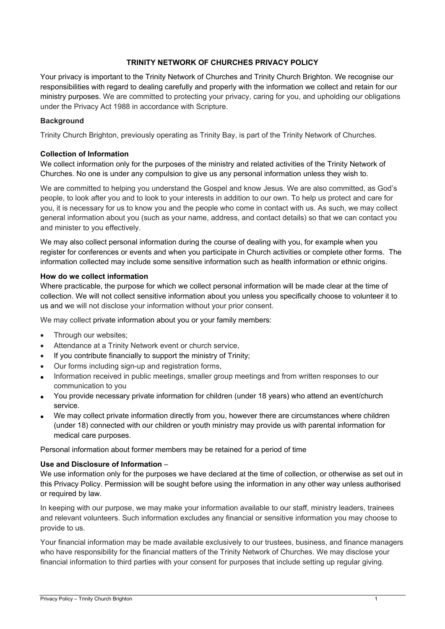## **TRINITY NETWORK OF CHURCHES PRIVACY POLICY**

Your privacy is important to the Trinity Network of Churches and Trinity Church Brighton. We recognise our responsibilities with regard to dealing carefully and properly with the information we collect and retain for our ministry purposes. We are committed to protecting your privacy, caring for you, and upholding our obligations under the Privacy Act 1988 in accordance with Scripture.

### **Background**

Trinity Church Brighton, previously operating as Trinity Bay, is part of the Trinity Network of Churches.

#### **Collection of Information**

We collect information only for the purposes of the ministry and related activities of the Trinity Network of Churches. No one is under any compulsion to give us any personal information unless they wish to.

We are committed to helping you understand the Gospel and know Jesus. We are also committed, as God's people, to look after you and to look to your interests in addition to our own. To help us protect and care for you, it is necessary for us to know you and the people who come in contact with us. As such, we may collect general information about you (such as your name, address, and contact details) so that we can contact you and minister to you effectively.

We may also collect personal information during the course of dealing with you, for example when you register for conferences or events and when you participate in Church activities or complete other forms. The information collected may include some sensitive information such as health information or ethnic origins.

#### **How do we collect information**

Where practicable, the purpose for which we collect personal information will be made clear at the time of collection. We will not collect sensitive information about you unless you specifically choose to volunteer it to us and we will not disclose your information without your prior consent.

We may collect private information about you or your family members:

- Through our websites;
- Attendance at a Trinity Network event or church service,
- If you contribute financially to support the ministry of Trinity;
- Our forms including sign-up and registration forms,
- Information received in public meetings, smaller group meetings and from written responses to our communication to you
- You provide necessary private information for children (under 18 years) who attend an event/church service.
- We may collect private information directly from you, however there are circumstances where children (under 18) connected with our children or youth ministry may provide us with parental information for medical care purposes.

Personal information about former members may be retained for a period of time

### **Use and Disclosure of Information** –

We use information only for the purposes we have declared at the time of collection, or otherwise as set out in this Privacy Policy. Permission will be sought before using the information in any other way unless authorised or required by law.

In keeping with our purpose, we may make your information available to our staff, ministry leaders, trainees and relevant volunteers. Such information excludes any financial or sensitive information you may choose to provide to us.

Your financial information may be made available exclusively to our trustees, business, and finance managers who have responsibility for the financial matters of the Trinity Network of Churches. We may disclose your financial information to third parties with your consent for purposes that include setting up regular giving.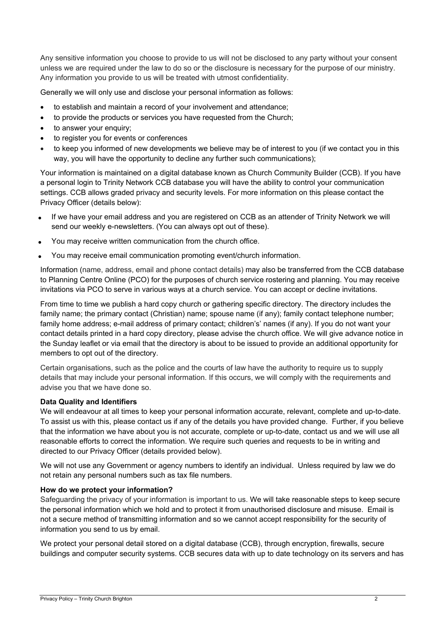Any sensitive information you choose to provide to us will not be disclosed to any party without your consent unless we are required under the law to do so or the disclosure is necessary for the purpose of our ministry. Any information you provide to us will be treated with utmost confidentiality.

Generally we will only use and disclose your personal information as follows:

- to establish and maintain a record of your involvement and attendance;
- to provide the products or services you have requested from the Church;
- to answer your enquiry:
- to register you for events or conferences
- to keep you informed of new developments we believe may be of interest to you (if we contact you in this way, you will have the opportunity to decline any further such communications);

Your information is maintained on a digital database known as Church Community Builder (CCB). If you have a personal login to Trinity Network CCB database you will have the ability to control your communication settings. CCB allows graded privacy and security levels. For more information on this please contact the Privacy Officer (details below):

- If we have your email address and you are registered on CCB as an attender of Trinity Network we will send our weekly e-newsletters. (You can always opt out of these).
- You may receive written communication from the church office.
- You may receive email communication promoting event/church information.

Information (name, address, email and phone contact details) may also be transferred from the CCB database to Planning Centre Online (PCO) for the purposes of church service rostering and planning. You may receive invitations via PCO to serve in various ways at a church service. You can accept or decline invitations.

From time to time we publish a hard copy church or gathering specific directory. The directory includes the family name; the primary contact (Christian) name; spouse name (if any); family contact telephone number; family home address; e-mail address of primary contact; children's' names (if any). If you do not want your contact details printed in a hard copy directory, please advise the church office. We will give advance notice in the Sunday leaflet or via email that the directory is about to be issued to provide an additional opportunity for members to opt out of the directory.

Certain organisations, such as the police and the courts of law have the authority to require us to supply details that may include your personal information. If this occurs, we will comply with the requirements and advise you that we have done so.

### **Data Quality and Identifiers**

We will endeavour at all times to keep your personal information accurate, relevant, complete and up-to-date. To assist us with this, please contact us if any of the details you have provided change. Further, if you believe that the information we have about you is not accurate, complete or up-to-date, contact us and we will use all reasonable efforts to correct the information. We require such queries and requests to be in writing and directed to our Privacy Officer (details provided below).

We will not use any Government or agency numbers to identify an individual. Unless required by law we do not retain any personal numbers such as tax file numbers.

### **How do we protect your information?**

Safeguarding the privacy of your information is important to us. We will take reasonable steps to keep secure the personal information which we hold and to protect it from unauthorised disclosure and misuse. Email is not a secure method of transmitting information and so we cannot accept responsibility for the security of information you send to us by email.

We protect your personal detail stored on a digital database (CCB), through encryption, firewalls, secure buildings and computer security systems. CCB secures data with up to date technology on its servers and has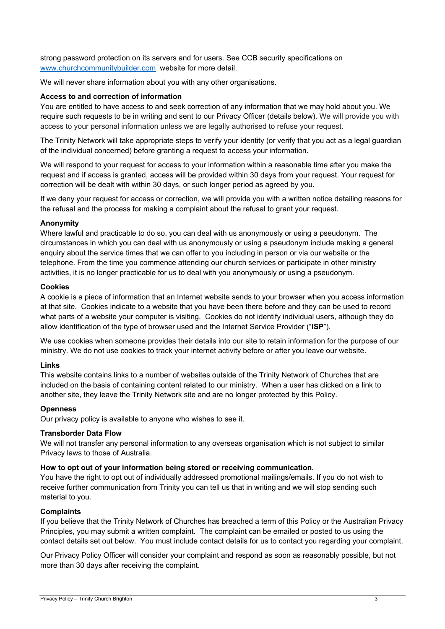strong password protection on its servers and for users. See CCB security specifications on www.churchcommunitybuilder.com website for more detail.

We will never share information about you with any other organisations.

## **Access to and correction of information**

You are entitled to have access to and seek correction of any information that we may hold about you. We require such requests to be in writing and sent to our Privacy Officer (details below). We will provide you with access to your personal information unless we are legally authorised to refuse your request.

The Trinity Network will take appropriate steps to verify your identity (or verify that you act as a legal guardian of the individual concerned) before granting a request to access your information.

We will respond to your request for access to your information within a reasonable time after you make the request and if access is granted, access will be provided within 30 days from your request. Your request for correction will be dealt with within 30 days, or such longer period as agreed by you.

If we deny your request for access or correction, we will provide you with a written notice detailing reasons for the refusal and the process for making a complaint about the refusal to grant your request.

## **Anonymity**

Where lawful and practicable to do so, you can deal with us anonymously or using a pseudonym. The circumstances in which you can deal with us anonymously or using a pseudonym include making a general enquiry about the service times that we can offer to you including in person or via our website or the telephone. From the time you commence attending our church services or participate in other ministry activities, it is no longer practicable for us to deal with you anonymously or using a pseudonym.

## **Cookies**

A cookie is a piece of information that an Internet website sends to your browser when you access information at that site. Cookies indicate to a website that you have been there before and they can be used to record what parts of a website your computer is visiting. Cookies do not identify individual users, although they do allow identification of the type of browser used and the Internet Service Provider ("**ISP**").

We use cookies when someone provides their details into our site to retain information for the purpose of our ministry. We do not use cookies to track your internet activity before or after you leave our website.

# **Links**

This website contains links to a number of websites outside of the Trinity Network of Churches that are included on the basis of containing content related to our ministry. When a user has clicked on a link to another site, they leave the Trinity Network site and are no longer protected by this Policy.

### **Openness**

Our privacy policy is available to anyone who wishes to see it.

### **Transborder Data Flow**

We will not transfer any personal information to any overseas organisation which is not subject to similar Privacy laws to those of Australia.

# **How to opt out of your information being stored or receiving communication.**

You have the right to opt out of individually addressed promotional mailings/emails. If you do not wish to receive further communication from Trinity you can tell us that in writing and we will stop sending such material to you.

### **Complaints**

If you believe that the Trinity Network of Churches has breached a term of this Policy or the Australian Privacy Principles, you may submit a written complaint. The complaint can be emailed or posted to us using the contact details set out below. You must include contact details for us to contact you regarding your complaint.

Our Privacy Policy Officer will consider your complaint and respond as soon as reasonably possible, but not more than 30 days after receiving the complaint.